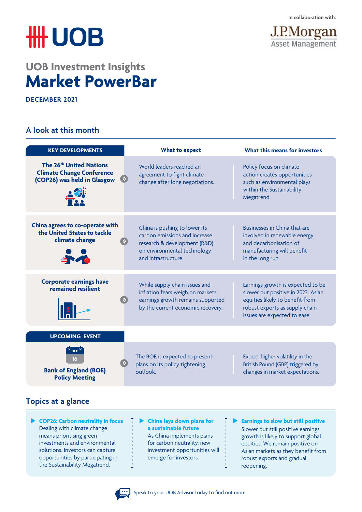# **HH UOB**

## **UOB Investment Insights Market PowerBar**

**DECEMBER 2021** 

### **A look at this month**



| <b>KEY DEVELOPMENTS</b>                                                                                | <b>What to expect</b>                                                                                                                                | What this means for investors                                                                                                                                                |
|--------------------------------------------------------------------------------------------------------|------------------------------------------------------------------------------------------------------------------------------------------------------|------------------------------------------------------------------------------------------------------------------------------------------------------------------------------|
| The 26 <sup>th</sup> United Nations<br><b>Climate Change Conference</b><br>(COP26) was held in Glasgow | World leaders reached an<br>agreement to fight climate<br>change after long negotiations.                                                            | Policy focus on climate<br>action creates opportunities<br>such as environmental plays<br>within the Sustainability<br>Megatrend.                                            |
| China agrees to co-operate with<br>the United States to tackle<br>climate change<br>500                | China is pushing to lower its<br>carbon emissions and increase<br>research & development (R&D)<br>on environmental technology<br>and infrastructure. | Businesses in China that are<br>involved in renewable energy<br>and decarbonisation of<br>manufacturing will benefit<br>in the long run.                                     |
| <b>Corporate earnings have</b><br>remained resilient                                                   | While supply chain issues and<br>inflation fears weigh on markets,<br>earnings growth remains supported<br>by the current economic recovery.         | Earnings growth is expected to be<br>slower but positive in 2022. Asian<br>equities likely to benefit from<br>robust exports as supply chain<br>issues are expected to ease. |
| <b>UPCOMING EVENT</b>                                                                                  |                                                                                                                                                      |                                                                                                                                                                              |
| $^{\circ}$ DEC $^{\circ}$<br>16<br><b>Bank of England (BOE)</b><br><b>Policy Meeting</b>               | The BOE is expected to present<br>plans on its policy tightening<br>outlook.                                                                         | Expect higher volatility in the<br>British Pound (GBP) triggered by<br>changes in market expectations.                                                                       |

## **Topics at a glance**

- u **COP26: Carbon neutrality in focus** Dealing with climate change means prioritising green investments and environmental solutions. Investors can capture opportunities by participating in the Sustainability Megatrend.
- **Example 12 China lays down plans for a sustainable future**  As China implements plans
	- for carbon neutrality, new investment opportunities will emerge for investors.
- **Earnings to slow but still positive** Slower but still positive earnings growth is likely to support global equities. We remain positive on Asian markets as they benefit from robust exports and gradual reopening.

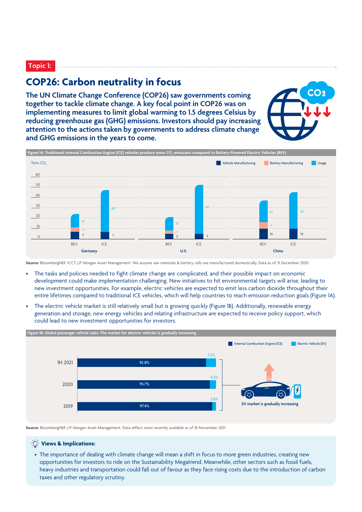#### **Topic 1:**

## **COP26: Carbon neutrality in focus**

**The UN Climate Change Conference (COP26) saw governments coming together to tackle climate change. A key focal point in COP26 was on implementing measures to limit global warming to 1.5 degrees Celsius by reducing greenhouse gas (GHG) emissions. Investors should pay increasing attention to the actions taken by governments to address climate change and GHG emissions in the years to come.**





**Source:** BloombergNEF, ICCT, J.P. Morgan Asset Management. We assume raw materials & battery cells are manufactured domestically. Data as of 31 December 2020.

- The tasks and policies needed to fight climate change are complicated, and their possible impact on economic development could make implementation challenging. New initiatives to hit environmental targets will arise, leading to new investment opportunities. For example, electric vehicles are expected to emit less carbon dioxide throughout their entire lifetimes compared to traditional ICE vehicles, which will help countries to reach emission reduction goals (Figure 1A).
- The electric vehicle market is still relatively small but is growing quickly (Figure 1B). Additionally, renewable energy generation and storage, new energy vehicles and relating infrastructure are expected to receive policy support, which could lead to new investment opportunities for investors.



**Source:** BloombergNEF, J.P. Morgan Asset Management. Data reflect most recently available as of 10 November 2021.



• The importance of dealing with climate change will mean a shift in focus to more green industries, creating new opportunities for investors to ride on the Sustainability Megatrend. Meanwhile, other sectors such as fossil fuels, heavy industries and transportation could fall out of favour as they face rising costs due to the introduction of carbon taxes and other regulatory scrutiny.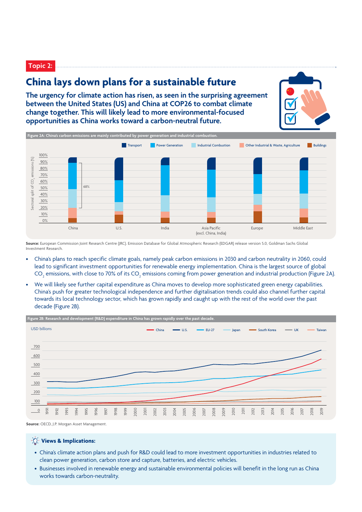**Topic 2:**

## **China lays down plans for a sustainable future**

**The urgency for climate action has risen, as seen in the surprising agreement between the United States (US) and China at COP26 to combat climate change together. This will likely lead to more environmental-focused opportunities as China works toward a carbon-neutral future.**



**Source:** European Commission Joint Research Centre (JRC). Emission Database for Global Atmospheric Research (EDGAR) release version 5.0, Goldman Sachs Global Investment Research.

- China's plans to reach specific climate goals, namely peak carbon emissions in 2030 and carbon neutrality in 2060, could lead to significant investment opportunities for renewable energy implementation. China is the largest source of global CO<sub>2</sub> emissions, with close to 70% of its CO<sub>2</sub> emissions coming from power generation and industrial production (Figure 2A).
- We will likely see further capital expenditure as China moves to develop more sophisticated green energy capabilities. China's push for greater technological independence and further digitalisation trends could also channel further capital towards its local technology sector, which has grown rapidly and caught up with the rest of the world over the past decade (Figure 2B).



**Source:** OECD, J.P. Morgan Asset Management.

#### **Views & Implications:**

- China's climate action plans and push for R&D could lead to more investment opportunities in industries related to clean power generation, carbon store and capture, batteries, and electric vehicles.
- Businesses involved in renewable energy and sustainable environmental policies will benefit in the long run as China works towards carbon-neutrality.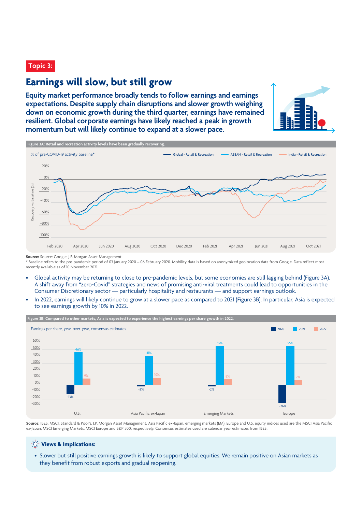#### **Topic 3:**

## **Earnings will slow, but still grow**

**Equity market performance broadly tends to follow earnings and earnings expectations. Despite supply chain disruptions and slower growth weighing down on economic growth during the third quarter, earnings have remained resilient. Global corporate earnings have likely reached a peak in growth momentum but will likely continue to expand at a slower pace.**





**Source:** Source: Google, J.P. Morgan Asset Management.

\* Baseline refers to the pre-pandemic period of 03 January 2020 – 06 February 2020. Mobility data is based on anonymized geolocation data from Google. Data reflect most recently available as of 10 November 2021.

- Global activity may be returning to close to pre-pandemic levels, but some economies are still lagging behind (Figure 3A). A shift away from "zero-Covid" strategies and news of promising anti-viral treatments could lead to opportunities in the Consumer Discretionary sector — particularly hospitality and restaurants — and support earnings outlook.
- In 2022, earnings will likely continue to grow at a slower pace as compared to 2021 (Figure 3B). In particular, Asia is expected to see earnings growth by 10% in 2022.



**Source:** IBES, MSCI, Standard & Poor's, J.P. Morgan Asset Management. Asia Pacific ex-Japan, emerging markets (EM), Europe and U.S. equity indices used are the MSCI Asia Pacific ex-Japan, MSCI Emerging Markets, MSCI Europe and S&P 500, respectively. Consensus estimates used are calendar year estimates from IBES.

#### **Views & Implications:**

• Slower but still positive earnings growth is likely to support global equities. We remain positive on Asian markets as they benefit from robust exports and gradual reopening.